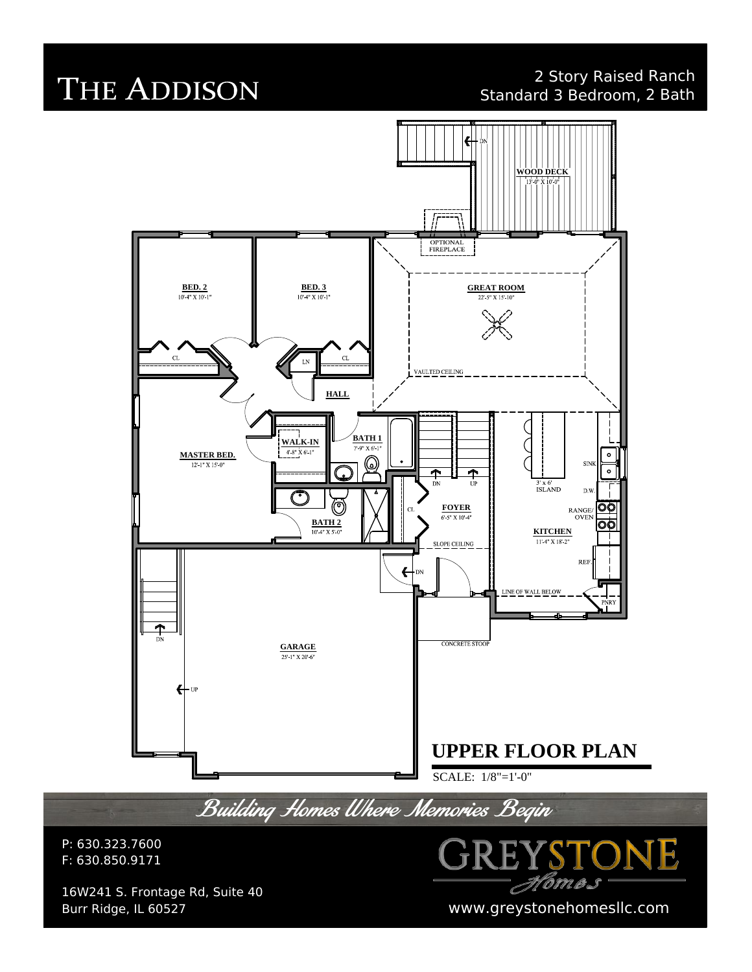### 2 Story Raised Ranch Standard 3 Bedroom, 2 Bath

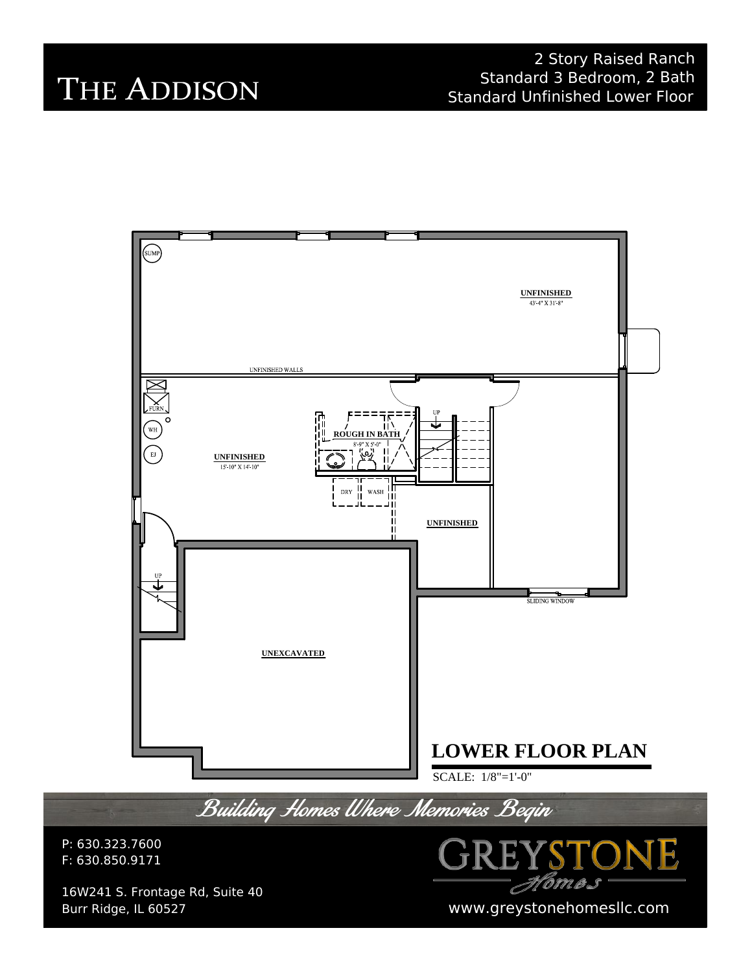### 2 Story Raised Ranch Standard 3 Bedroom, 2 Bath Standard Unfinished Lower Floor

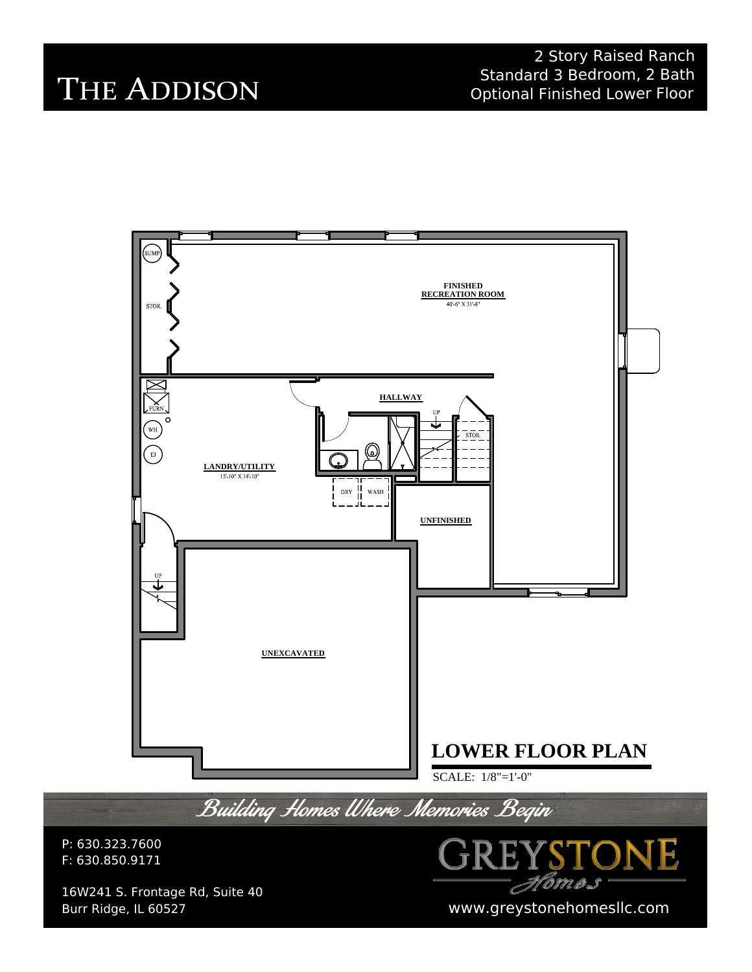2 Story Raised Ranch Standard 3 Bedroom, 2 Bath Optional Finished Lower Floor

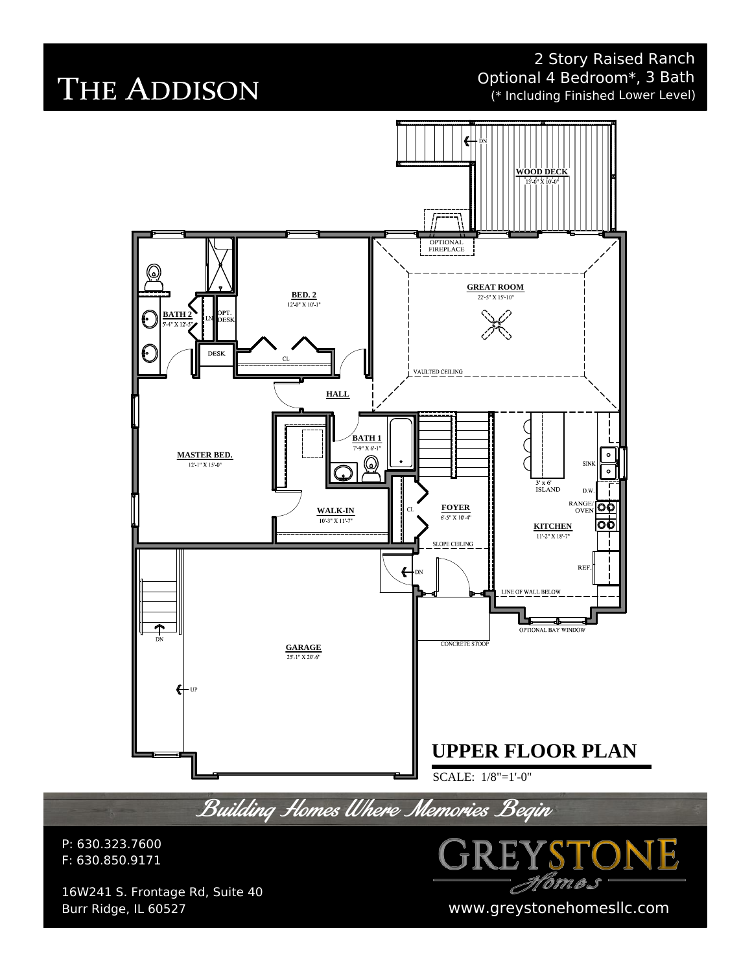2 Story Raised Ranch Optional 4 Bedroom\*, 3 Bath (\* Including Finished Lower Level)

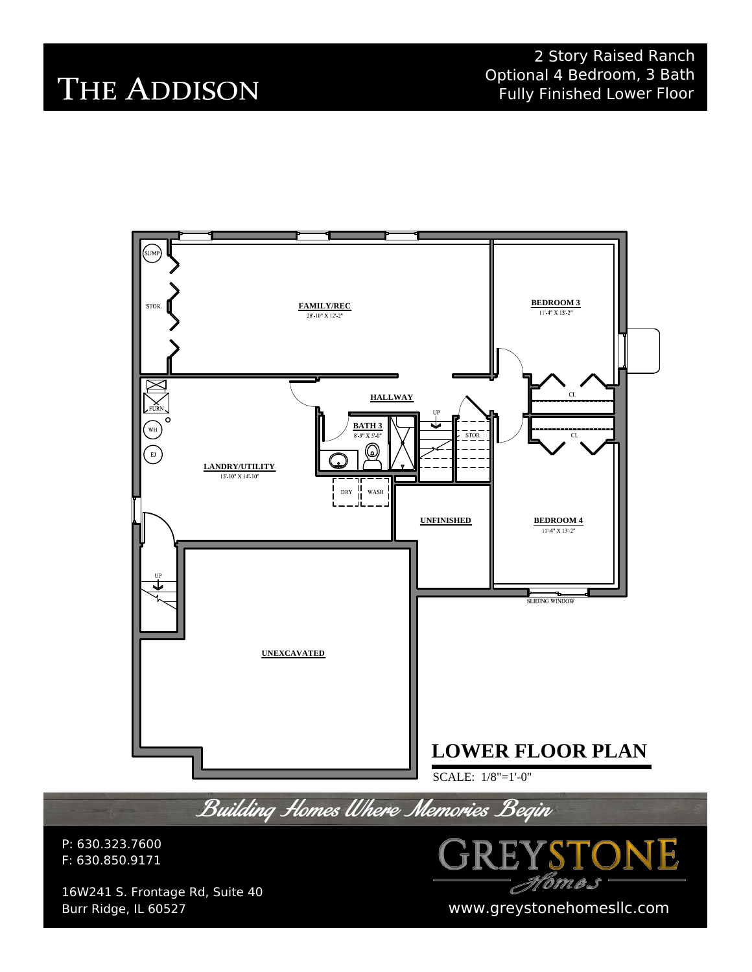2 Story Raised Ranch Optional 4 Bedroom, 3 Bath Fully Finished Lower Floor